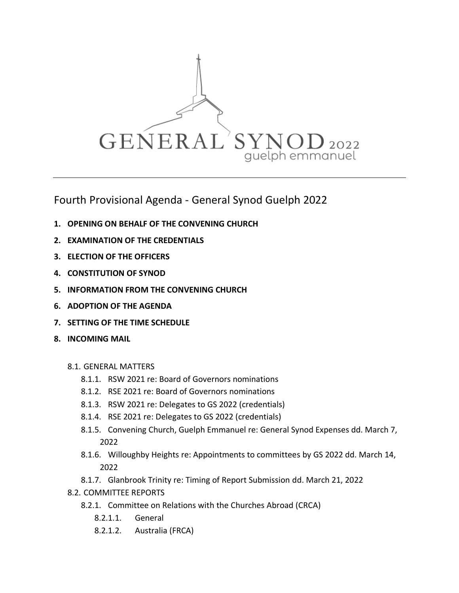

Fourth Provisional Agenda - General Synod Guelph 2022

- **1. OPENING ON BEHALF OF THE CONVENING CHURCH**
- **2. EXAMINATION OF THE CREDENTIALS**
- **3. ELECTION OF THE OFFICERS**
- **4. CONSTITUTION OF SYNOD**
- **5. INFORMATION FROM THE CONVENING CHURCH**
- **6. ADOPTION OF THE AGENDA**
- **7. SETTING OF THE TIME SCHEDULE**
- **8. INCOMING MAIL**
	- 8.1. GENERAL MATTERS
		- 8.1.1. RSW 2021 re: Board of Governors nominations
		- 8.1.2. RSE 2021 re: Board of Governors nominations
		- 8.1.3. RSW 2021 re: Delegates to GS 2022 (credentials)
		- 8.1.4. RSE 2021 re: Delegates to GS 2022 (credentials)
		- 8.1.5. Convening Church, Guelph Emmanuel re: General Synod Expenses dd. March 7, 2022
		- 8.1.6. Willoughby Heights re: Appointments to committees by GS 2022 dd. March 14, 2022
		- 8.1.7. Glanbrook Trinity re: Timing of Report Submission dd. March 21, 2022
	- 8.2. COMMITTEE REPORTS
		- 8.2.1. Committee on Relations with the Churches Abroad (CRCA)
			- 8.2.1.1. General
			- 8.2.1.2. Australia (FRCA)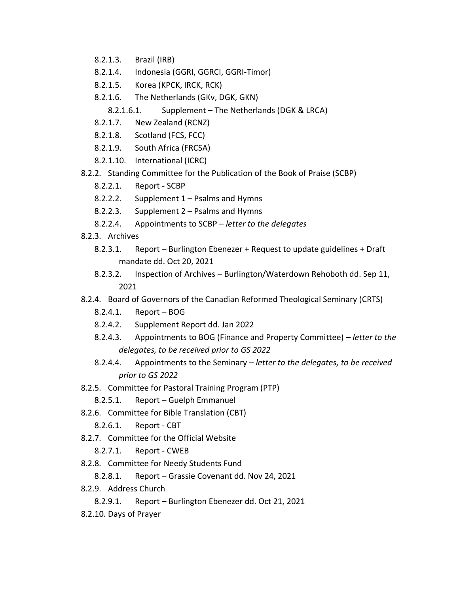- 8.2.1.3. Brazil (IRB)
- 8.2.1.4. Indonesia (GGRI, GGRCI, GGRI-Timor)
- 8.2.1.5. Korea (KPCK, IRCK, RCK)
- 8.2.1.6. The Netherlands (GKv, DGK, GKN)
	- 8.2.1.6.1. Supplement The Netherlands (DGK & LRCA)
- 8.2.1.7. New Zealand (RCNZ)
- 8.2.1.8. Scotland (FCS, FCC)
- 8.2.1.9. South Africa (FRCSA)
- 8.2.1.10. International (ICRC)
- 8.2.2. Standing Committee for the Publication of the Book of Praise (SCBP)
	- 8.2.2.1. Report SCBP
	- 8.2.2.2. Supplement 1 Psalms and Hymns
	- 8.2.2.3. Supplement 2 Psalms and Hymns
	- 8.2.2.4. Appointments to SCBP *letter to the delegates*
- 8.2.3. Archives
	- 8.2.3.1. Report Burlington Ebenezer + Request to update guidelines + Draft mandate dd. Oct 20, 2021
	- 8.2.3.2. Inspection of Archives Burlington/Waterdown Rehoboth dd. Sep 11, 2021
- 8.2.4. Board of Governors of the Canadian Reformed Theological Seminary (CRTS)
	- 8.2.4.1. Report BOG
	- 8.2.4.2. Supplement Report dd. Jan 2022
	- 8.2.4.3. Appointments to BOG (Finance and Property Committee) *letter to the delegates, to be received prior to GS 2022*
	- 8.2.4.4. Appointments to the Seminary *letter to the delegates, to be received prior to GS 2022*
- 8.2.5. Committee for Pastoral Training Program (PTP)
	- 8.2.5.1. Report Guelph Emmanuel
- 8.2.6. Committee for Bible Translation (CBT)
	- 8.2.6.1. Report CBT
- 8.2.7. Committee for the Official Website
	- 8.2.7.1. Report CWEB
- 8.2.8. Committee for Needy Students Fund
	- 8.2.8.1. Report Grassie Covenant dd. Nov 24, 2021
- 8.2.9. Address Church
	- 8.2.9.1. Report Burlington Ebenezer dd. Oct 21, 2021
- 8.2.10. Days of Prayer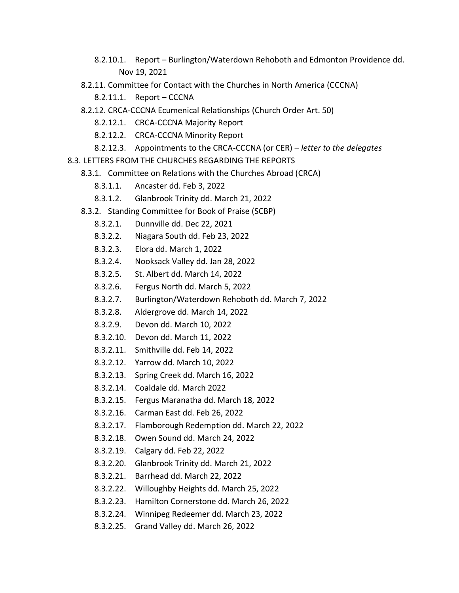- 8.2.10.1. Report Burlington/Waterdown Rehoboth and Edmonton Providence dd. Nov 19, 2021
- 8.2.11. Committee for Contact with the Churches in North America (CCCNA)
	- 8.2.11.1. Report CCCNA
- 8.2.12. CRCA-CCCNA Ecumenical Relationships (Church Order Art. 50)
	- 8.2.12.1. CRCA-CCCNA Majority Report
	- 8.2.12.2. CRCA-CCCNA Minority Report
	- 8.2.12.3. Appointments to the CRCA-CCCNA (or CER) *letter to the delegates*
- 8.3. LETTERS FROM THE CHURCHES REGARDING THE REPORTS
	- 8.3.1. Committee on Relations with the Churches Abroad (CRCA)
		- 8.3.1.1. Ancaster dd. Feb 3, 2022
		- 8.3.1.2. Glanbrook Trinity dd. March 21, 2022
	- 8.3.2. Standing Committee for Book of Praise (SCBP)
		- 8.3.2.1. Dunnville dd. Dec 22, 2021
		- 8.3.2.2. Niagara South dd. Feb 23, 2022
		- 8.3.2.3. Elora dd. March 1, 2022
		- 8.3.2.4. Nooksack Valley dd. Jan 28, 2022
		- 8.3.2.5. St. Albert dd. March 14, 2022
		- 8.3.2.6. Fergus North dd. March 5, 2022
		- 8.3.2.7. Burlington/Waterdown Rehoboth dd. March 7, 2022
		- 8.3.2.8. Aldergrove dd. March 14, 2022
		- 8.3.2.9. Devon dd. March 10, 2022
		- 8.3.2.10. Devon dd. March 11, 2022
		- 8.3.2.11. Smithville dd. Feb 14, 2022
		- 8.3.2.12. Yarrow dd. March 10, 2022
		- 8.3.2.13. Spring Creek dd. March 16, 2022
		- 8.3.2.14. Coaldale dd. March 2022
		- 8.3.2.15. Fergus Maranatha dd. March 18, 2022
		- 8.3.2.16. Carman East dd. Feb 26, 2022
		- 8.3.2.17. Flamborough Redemption dd. March 22, 2022
		- 8.3.2.18. Owen Sound dd. March 24, 2022
		- 8.3.2.19. Calgary dd. Feb 22, 2022
		- 8.3.2.20. Glanbrook Trinity dd. March 21, 2022
		- 8.3.2.21. Barrhead dd. March 22, 2022
		- 8.3.2.22. Willoughby Heights dd. March 25, 2022
		- 8.3.2.23. Hamilton Cornerstone dd. March 26, 2022
		- 8.3.2.24. Winnipeg Redeemer dd. March 23, 2022
		- 8.3.2.25. Grand Valley dd. March 26, 2022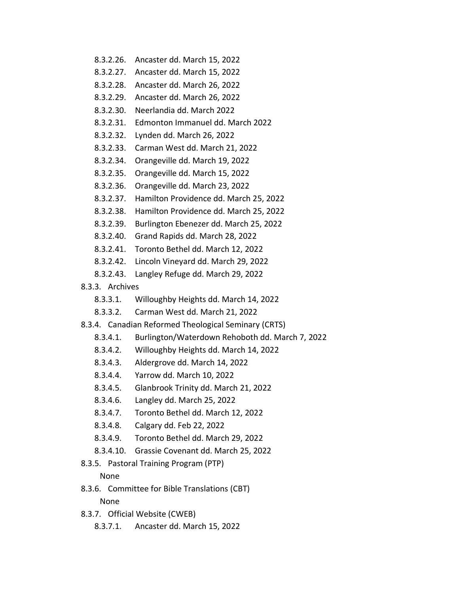- 8.3.2.26. Ancaster dd. March 15, 2022
- 8.3.2.27. Ancaster dd. March 15, 2022
- 8.3.2.28. Ancaster dd. March 26, 2022
- 8.3.2.29. Ancaster dd. March 26, 2022
- 8.3.2.30. Neerlandia dd. March 2022
- 8.3.2.31. Edmonton Immanuel dd. March 2022
- 8.3.2.32. Lynden dd. March 26, 2022
- 8.3.2.33. Carman West dd. March 21, 2022
- 8.3.2.34. Orangeville dd. March 19, 2022
- 8.3.2.35. Orangeville dd. March 15, 2022
- 8.3.2.36. Orangeville dd. March 23, 2022
- 8.3.2.37. Hamilton Providence dd. March 25, 2022
- 8.3.2.38. Hamilton Providence dd. March 25, 2022
- 8.3.2.39. Burlington Ebenezer dd. March 25, 2022
- 8.3.2.40. Grand Rapids dd. March 28, 2022
- 8.3.2.41. Toronto Bethel dd. March 12, 2022
- 8.3.2.42. Lincoln Vineyard dd. March 29, 2022
- 8.3.2.43. Langley Refuge dd. March 29, 2022
- 8.3.3. Archives
	- 8.3.3.1. Willoughby Heights dd. March 14, 2022
	- 8.3.3.2. Carman West dd. March 21, 2022
- 8.3.4. Canadian Reformed Theological Seminary (CRTS)
	- 8.3.4.1. Burlington/Waterdown Rehoboth dd. March 7, 2022
	- 8.3.4.2. Willoughby Heights dd. March 14, 2022
	- 8.3.4.3. Aldergrove dd. March 14, 2022
	- 8.3.4.4. Yarrow dd. March 10, 2022
	- 8.3.4.5. Glanbrook Trinity dd. March 21, 2022
	- 8.3.4.6. Langley dd. March 25, 2022
	- 8.3.4.7. Toronto Bethel dd. March 12, 2022
	- 8.3.4.8. Calgary dd. Feb 22, 2022
	- 8.3.4.9. Toronto Bethel dd. March 29, 2022
	- 8.3.4.10. Grassie Covenant dd. March 25, 2022
- 8.3.5. Pastoral Training Program (PTP)

### None

8.3.6. Committee for Bible Translations (CBT)

None

- 8.3.7. Official Website (CWEB)
	- 8.3.7.1. Ancaster dd. March 15, 2022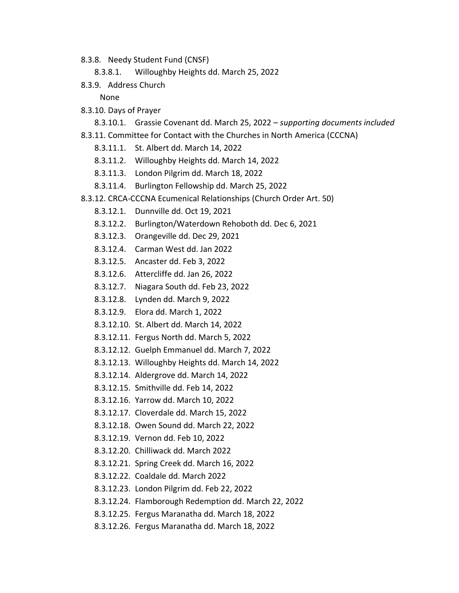- 8.3.8. Needy Student Fund (CNSF)
	- 8.3.8.1. Willoughby Heights dd. March 25, 2022
- 8.3.9. Address Church

None

- 8.3.10. Days of Prayer
	- 8.3.10.1. Grassie Covenant dd. March 25, 2022 *supporting documents included*
- 8.3.11. Committee for Contact with the Churches in North America (CCCNA)
	- 8.3.11.1. St. Albert dd. March 14, 2022
	- 8.3.11.2. Willoughby Heights dd. March 14, 2022
	- 8.3.11.3. London Pilgrim dd. March 18, 2022
	- 8.3.11.4. Burlington Fellowship dd. March 25, 2022
- 8.3.12. CRCA-CCCNA Ecumenical Relationships (Church Order Art. 50)
	- 8.3.12.1. Dunnville dd. Oct 19, 2021
	- 8.3.12.2. Burlington/Waterdown Rehoboth dd. Dec 6, 2021
	- 8.3.12.3. Orangeville dd. Dec 29, 2021
	- 8.3.12.4. Carman West dd. Jan 2022
	- 8.3.12.5. Ancaster dd. Feb 3, 2022
	- 8.3.12.6. Attercliffe dd. Jan 26, 2022
	- 8.3.12.7. Niagara South dd. Feb 23, 2022
	- 8.3.12.8. Lynden dd. March 9, 2022
	- 8.3.12.9. Elora dd. March 1, 2022
	- 8.3.12.10. St. Albert dd. March 14, 2022
	- 8.3.12.11. Fergus North dd. March 5, 2022
	- 8.3.12.12. Guelph Emmanuel dd. March 7, 2022
	- 8.3.12.13. Willoughby Heights dd. March 14, 2022
	- 8.3.12.14. Aldergrove dd. March 14, 2022
	- 8.3.12.15. Smithville dd. Feb 14, 2022
	- 8.3.12.16. Yarrow dd. March 10, 2022
	- 8.3.12.17. Cloverdale dd. March 15, 2022
	- 8.3.12.18. Owen Sound dd. March 22, 2022
	- 8.3.12.19. Vernon dd. Feb 10, 2022
	- 8.3.12.20. Chilliwack dd. March 2022
	- 8.3.12.21. Spring Creek dd. March 16, 2022
	- 8.3.12.22. Coaldale dd. March 2022
	- 8.3.12.23. London Pilgrim dd. Feb 22, 2022
	- 8.3.12.24. Flamborough Redemption dd. March 22, 2022
	- 8.3.12.25. Fergus Maranatha dd. March 18, 2022
	- 8.3.12.26. Fergus Maranatha dd. March 18, 2022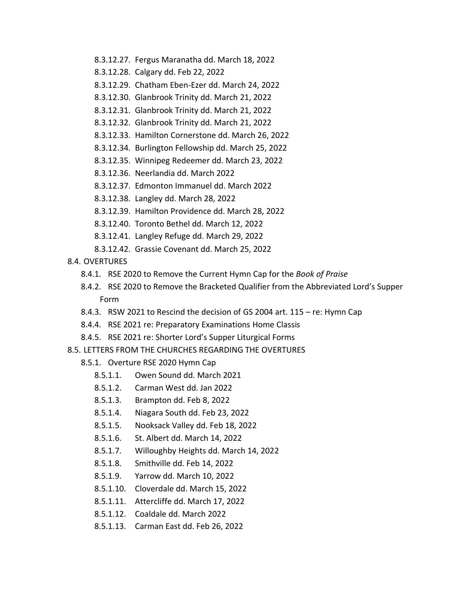- 8.3.12.27. Fergus Maranatha dd. March 18, 2022
- 8.3.12.28. Calgary dd. Feb 22, 2022
- 8.3.12.29. Chatham Eben-Ezer dd. March 24, 2022
- 8.3.12.30. Glanbrook Trinity dd. March 21, 2022
- 8.3.12.31. Glanbrook Trinity dd. March 21, 2022
- 8.3.12.32. Glanbrook Trinity dd. March 21, 2022
- 8.3.12.33. Hamilton Cornerstone dd. March 26, 2022
- 8.3.12.34. Burlington Fellowship dd. March 25, 2022
- 8.3.12.35. Winnipeg Redeemer dd. March 23, 2022
- 8.3.12.36. Neerlandia dd. March 2022
- 8.3.12.37. Edmonton Immanuel dd. March 2022
- 8.3.12.38. Langley dd. March 28, 2022
- 8.3.12.39. Hamilton Providence dd. March 28, 2022
- 8.3.12.40. Toronto Bethel dd. March 12, 2022
- 8.3.12.41. Langley Refuge dd. March 29, 2022
- 8.3.12.42. Grassie Covenant dd. March 25, 2022
- 8.4. OVERTURES
	- 8.4.1. RSE 2020 to Remove the Current Hymn Cap for the *Book of Praise*
	- 8.4.2. RSE 2020 to Remove the Bracketed Qualifier from the Abbreviated Lord's Supper Form
	- 8.4.3. RSW 2021 to Rescind the decision of GS 2004 art. 115 re: Hymn Cap
	- 8.4.4. RSE 2021 re: Preparatory Examinations Home Classis
	- 8.4.5. RSE 2021 re: Shorter Lord's Supper Liturgical Forms
- 8.5. LETTERS FROM THE CHURCHES REGARDING THE OVERTURES
	- 8.5.1. Overture RSE 2020 Hymn Cap
		- 8.5.1.1. Owen Sound dd. March 2021
		- 8.5.1.2. Carman West dd. Jan 2022
		- 8.5.1.3. Brampton dd. Feb 8, 2022
		- 8.5.1.4. Niagara South dd. Feb 23, 2022
		- 8.5.1.5. Nooksack Valley dd. Feb 18, 2022
		- 8.5.1.6. St. Albert dd. March 14, 2022
		- 8.5.1.7. Willoughby Heights dd. March 14, 2022
		- 8.5.1.8. Smithville dd. Feb 14, 2022
		- 8.5.1.9. Yarrow dd. March 10, 2022
		- 8.5.1.10. Cloverdale dd. March 15, 2022
		- 8.5.1.11. Attercliffe dd. March 17, 2022
		- 8.5.1.12. Coaldale dd. March 2022
		- 8.5.1.13. Carman East dd. Feb 26, 2022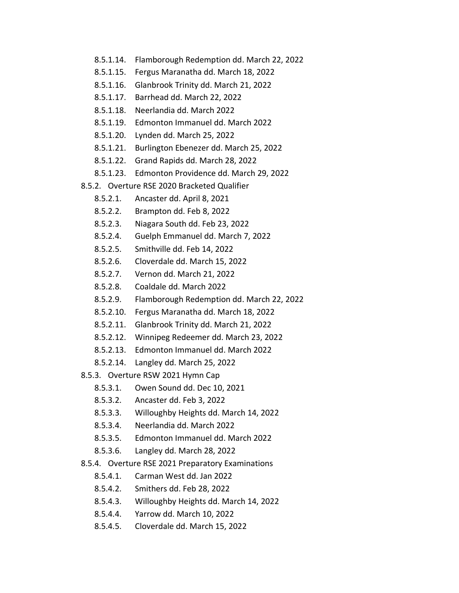- 8.5.1.14. Flamborough Redemption dd. March 22, 2022
- 8.5.1.15. Fergus Maranatha dd. March 18, 2022
- 8.5.1.16. Glanbrook Trinity dd. March 21, 2022
- 8.5.1.17. Barrhead dd. March 22, 2022
- 8.5.1.18. Neerlandia dd. March 2022
- 8.5.1.19. Edmonton Immanuel dd. March 2022
- 8.5.1.20. Lynden dd. March 25, 2022
- 8.5.1.21. Burlington Ebenezer dd. March 25, 2022
- 8.5.1.22. Grand Rapids dd. March 28, 2022
- 8.5.1.23. Edmonton Providence dd. March 29, 2022
- 8.5.2. Overture RSE 2020 Bracketed Qualifier
	- 8.5.2.1. Ancaster dd. April 8, 2021
	- 8.5.2.2. Brampton dd. Feb 8, 2022
	- 8.5.2.3. Niagara South dd. Feb 23, 2022
	- 8.5.2.4. Guelph Emmanuel dd. March 7, 2022
	- 8.5.2.5. Smithville dd. Feb 14, 2022
	- 8.5.2.6. Cloverdale dd. March 15, 2022
	- 8.5.2.7. Vernon dd. March 21, 2022
	- 8.5.2.8. Coaldale dd. March 2022
	- 8.5.2.9. Flamborough Redemption dd. March 22, 2022
	- 8.5.2.10. Fergus Maranatha dd. March 18, 2022
	- 8.5.2.11. Glanbrook Trinity dd. March 21, 2022
	- 8.5.2.12. Winnipeg Redeemer dd. March 23, 2022
	- 8.5.2.13. Edmonton Immanuel dd. March 2022
	- 8.5.2.14. Langley dd. March 25, 2022
- 8.5.3. Overture RSW 2021 Hymn Cap
	- 8.5.3.1. Owen Sound dd. Dec 10, 2021
	- 8.5.3.2. Ancaster dd. Feb 3, 2022
	- 8.5.3.3. Willoughby Heights dd. March 14, 2022
	- 8.5.3.4. Neerlandia dd. March 2022
	- 8.5.3.5. Edmonton Immanuel dd. March 2022
	- 8.5.3.6. Langley dd. March 28, 2022
- 8.5.4. Overture RSE 2021 Preparatory Examinations
	- 8.5.4.1. Carman West dd. Jan 2022
	- 8.5.4.2. Smithers dd. Feb 28, 2022
	- 8.5.4.3. Willoughby Heights dd. March 14, 2022
	- 8.5.4.4. Yarrow dd. March 10, 2022
	- 8.5.4.5. Cloverdale dd. March 15, 2022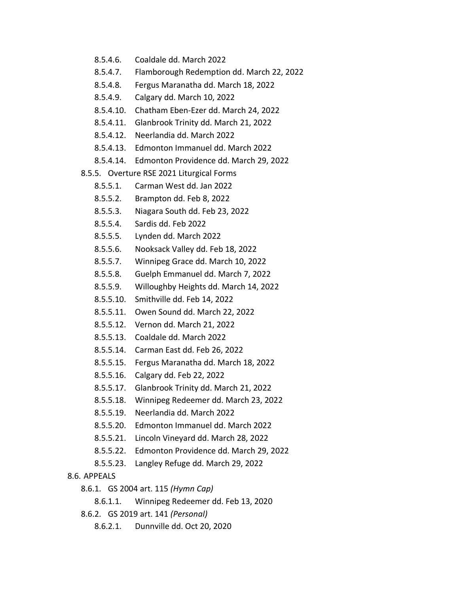- 8.5.4.6. Coaldale dd. March 2022
- 8.5.4.7. Flamborough Redemption dd. March 22, 2022
- 8.5.4.8. Fergus Maranatha dd. March 18, 2022
- 8.5.4.9. Calgary dd. March 10, 2022
- 8.5.4.10. Chatham Eben-Ezer dd. March 24, 2022
- 8.5.4.11. Glanbrook Trinity dd. March 21, 2022
- 8.5.4.12. Neerlandia dd. March 2022
- 8.5.4.13. Edmonton Immanuel dd. March 2022
- 8.5.4.14. Edmonton Providence dd. March 29, 2022
- 8.5.5. Overture RSE 2021 Liturgical Forms
	- 8.5.5.1. Carman West dd. Jan 2022
	- 8.5.5.2. Brampton dd. Feb 8, 2022
	- 8.5.5.3. Niagara South dd. Feb 23, 2022
	- 8.5.5.4. Sardis dd. Feb 2022
	- 8.5.5.5. Lynden dd. March 2022
	- 8.5.5.6. Nooksack Valley dd. Feb 18, 2022
	- 8.5.5.7. Winnipeg Grace dd. March 10, 2022
	- 8.5.5.8. Guelph Emmanuel dd. March 7, 2022
	- 8.5.5.9. Willoughby Heights dd. March 14, 2022
	- 8.5.5.10. Smithville dd. Feb 14, 2022
	- 8.5.5.11. Owen Sound dd. March 22, 2022
	- 8.5.5.12. Vernon dd. March 21, 2022
	- 8.5.5.13. Coaldale dd. March 2022
	- 8.5.5.14. Carman East dd. Feb 26, 2022
	- 8.5.5.15. Fergus Maranatha dd. March 18, 2022
	- 8.5.5.16. Calgary dd. Feb 22, 2022
	- 8.5.5.17. Glanbrook Trinity dd. March 21, 2022
	- 8.5.5.18. Winnipeg Redeemer dd. March 23, 2022
	- 8.5.5.19. Neerlandia dd. March 2022
	- 8.5.5.20. Edmonton Immanuel dd. March 2022
	- 8.5.5.21. Lincoln Vineyard dd. March 28, 2022
	- 8.5.5.22. Edmonton Providence dd. March 29, 2022
	- 8.5.5.23. Langley Refuge dd. March 29, 2022
- 8.6. APPEALS
	- 8.6.1. GS 2004 art. 115 *(Hymn Cap)*
		- 8.6.1.1. Winnipeg Redeemer dd. Feb 13, 2020
	- 8.6.2. GS 2019 art. 141 *(Personal)*
		- 8.6.2.1. Dunnville dd. Oct 20, 2020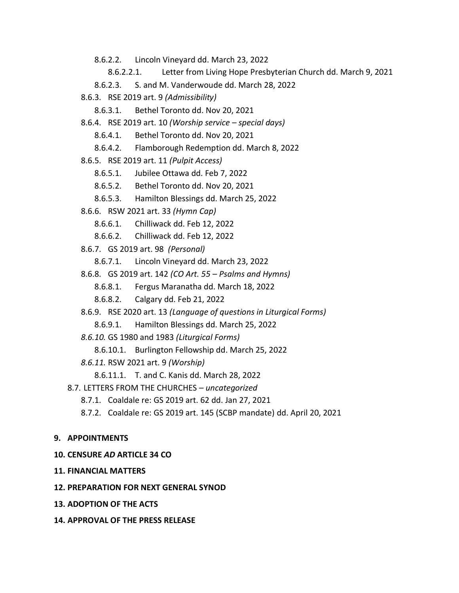8.6.2.2. Lincoln Vineyard dd. March 23, 2022

8.6.2.2.1. Letter from Living Hope Presbyterian Church dd. March 9, 2021

- 8.6.2.3. S. and M. Vanderwoude dd. March 28, 2022
- 8.6.3. RSE 2019 art. 9 *(Admissibility)*

8.6.3.1. Bethel Toronto dd. Nov 20, 2021

8.6.4. RSE 2019 art. 10 *(Worship service – special days)*

8.6.4.1. Bethel Toronto dd. Nov 20, 2021

8.6.4.2. Flamborough Redemption dd. March 8, 2022

8.6.5. RSE 2019 art. 11 *(Pulpit Access)*

- 8.6.5.1. Jubilee Ottawa dd. Feb 7, 2022
- 8.6.5.2. Bethel Toronto dd. Nov 20, 2021
- 8.6.5.3. Hamilton Blessings dd. March 25, 2022
- 8.6.6. RSW 2021 art. 33 *(Hymn Cap)*
	- 8.6.6.1. Chilliwack dd. Feb 12, 2022
	- 8.6.6.2. Chilliwack dd. Feb 12, 2022
- 8.6.7. GS 2019 art. 98 *(Personal)*
	- 8.6.7.1. Lincoln Vineyard dd. March 23, 2022
- 8.6.8. GS 2019 art. 142 *(CO Art. 55 – Psalms and Hymns)*
	- 8.6.8.1. Fergus Maranatha dd. March 18, 2022
	- 8.6.8.2. Calgary dd. Feb 21, 2022
- 8.6.9. RSE 2020 art. 13 *(Language of questions in Liturgical Forms)*
	- 8.6.9.1. Hamilton Blessings dd. March 25, 2022
- *8.6.10.* GS 1980 and 1983 *(Liturgical Forms)*
	- 8.6.10.1. Burlington Fellowship dd. March 25, 2022
- *8.6.11.* RSW 2021 art. 9 *(Worship)*
	- 8.6.11.1. T. and C. Kanis dd. March 28, 2022
- 8.7. LETTERS FROM THE CHURCHES *– uncategorized*
	- 8.7.1. Coaldale re: GS 2019 art. 62 dd. Jan 27, 2021
	- 8.7.2. Coaldale re: GS 2019 art. 145 (SCBP mandate) dd. April 20, 2021

## **9. APPOINTMENTS**

## **10. CENSURE** *AD* **ARTICLE 34 CO**

**11. FINANCIAL MATTERS**

## **12. PREPARATION FOR NEXT GENERAL SYNOD**

- **13. ADOPTION OF THE ACTS**
- **14. APPROVAL OF THE PRESS RELEASE**